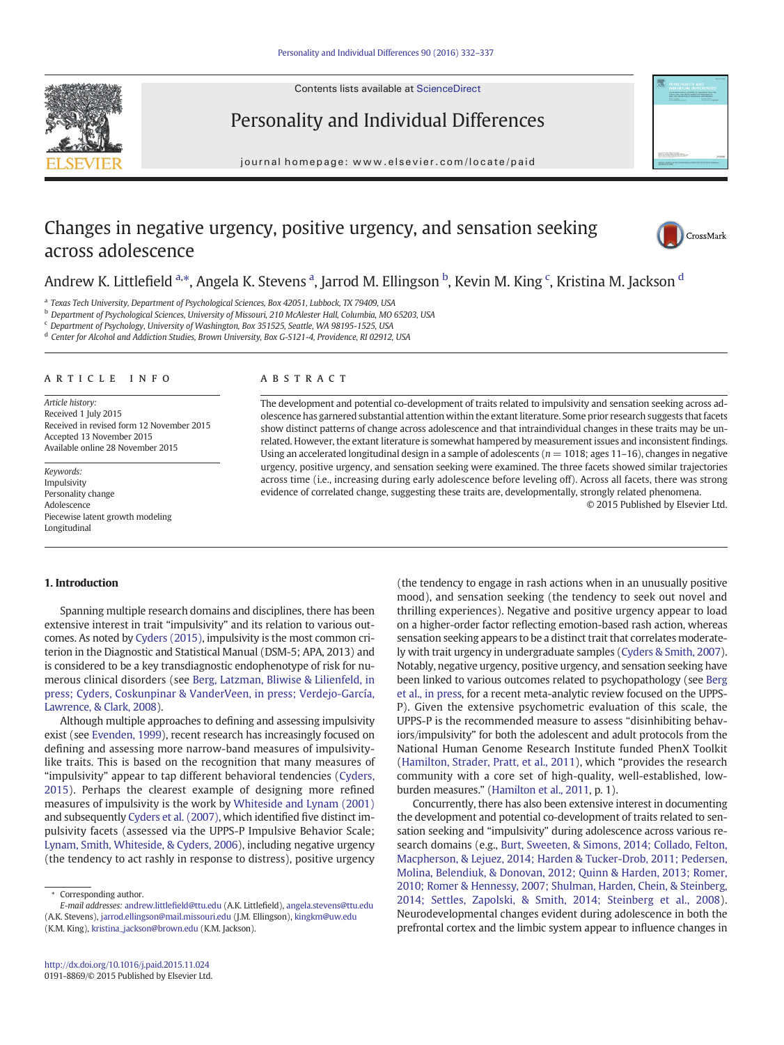Contents lists available at [ScienceDirect](http://www.sciencedirect.com/science/journal/)





# Personality and Individual Differences

journal homepage: www.elsevier.com/locate/paid

# Changes in negative urgency, positive urgency, and sensation seeking across adolescence



## Andrew K. Littlefield <sup>a,</sup>\*, Angela K. Stevens <sup>a</sup>, Jarrod M. Ellingson <sup>b</sup>, Kevin M. King <sup>c</sup>, Kristina M. Jackson <sup>d</sup>

<sup>a</sup> Texas Tech University, Department of Psychological Sciences, Box 42051, Lubbock, TX 79409, USA

<sup>b</sup> Department of Psychological Sciences, University of Missouri, 210 McAlester Hall, Columbia, MO 65203, USA

<sup>c</sup> Department of Psychology, University of Washington, Box 351525, Seattle, WA 98195-1525, USA

<sup>d</sup> Center for Alcohol and Addiction Studies, Brown University, Box G-S121-4, Providence, RI 02912, USA

#### article info abstract

Article history: Received 1 July 2015 Received in revised form 12 November 2015 Accepted 13 November 2015 Available online 28 November 2015

Keywords: Impulsivity Personality change Adolescence Piecewise latent growth modeling Longitudinal

The development and potential co-development of traits related to impulsivity and sensation seeking across adolescence has garnered substantial attention within the extant literature. Some prior research suggests that facets show distinct patterns of change across adolescence and that intraindividual changes in these traits may be unrelated. However, the extant literature is somewhat hampered by measurement issues and inconsistent findings. Using an accelerated longitudinal design in a sample of adolescents ( $n = 1018$ ; ages 11-16), changes in negative urgency, positive urgency, and sensation seeking were examined. The three facets showed similar trajectories across time (i.e., increasing during early adolescence before leveling off). Across all facets, there was strong evidence of correlated change, suggesting these traits are, developmentally, strongly related phenomena.

© 2015 Published by Elsevier Ltd.

#### 1. Introduction

Spanning multiple research domains and disciplines, there has been extensive interest in trait "impulsivity" and its relation to various outcomes. As noted by [Cyders \(2015\),](#page--1-0) impulsivity is the most common criterion in the Diagnostic and Statistical Manual (DSM-5; APA, 2013) and is considered to be a key transdiagnostic endophenotype of risk for numerous clinical disorders (see [Berg, Latzman, Bliwise & Lilienfeld, in](#page--1-0) [press; Cyders, Coskunpinar & VanderVeen, in press; Verdejo-García,](#page--1-0) [Lawrence, & Clark, 2008\)](#page--1-0).

Although multiple approaches to defining and assessing impulsivity exist (see [Evenden, 1999\)](#page--1-0), recent research has increasingly focused on defining and assessing more narrow-band measures of impulsivitylike traits. This is based on the recognition that many measures of "impulsivity" appear to tap different behavioral tendencies ([Cyders,](#page--1-0) [2015](#page--1-0)). Perhaps the clearest example of designing more refined measures of impulsivity is the work by [Whiteside and Lynam \(2001\)](#page--1-0) and subsequently [Cyders et al. \(2007\)](#page--1-0), which identified five distinct impulsivity facets (assessed via the UPPS-P Impulsive Behavior Scale; [Lynam, Smith, Whiteside, & Cyders, 2006\)](#page--1-0), including negative urgency (the tendency to act rashly in response to distress), positive urgency

(the tendency to engage in rash actions when in an unusually positive mood), and sensation seeking (the tendency to seek out novel and thrilling experiences). Negative and positive urgency appear to load on a higher-order factor reflecting emotion-based rash action, whereas sensation seeking appears to be a distinct trait that correlates moderately with trait urgency in undergraduate samples [\(Cyders & Smith, 2007\)](#page--1-0). Notably, negative urgency, positive urgency, and sensation seeking have been linked to various outcomes related to psychopathology (see [Berg](#page--1-0) [et al., in press,](#page--1-0) for a recent meta-analytic review focused on the UPPS-P). Given the extensive psychometric evaluation of this scale, the UPPS-P is the recommended measure to assess "disinhibiting behaviors/impulsivity" for both the adolescent and adult protocols from the National Human Genome Research Institute funded PhenX Toolkit [\(Hamilton, Strader, Pratt, et al., 2011](#page--1-0)), which "provides the research community with a core set of high-quality, well-established, lowburden measures." ([Hamilton et al., 2011,](#page--1-0) p. 1).

Concurrently, there has also been extensive interest in documenting the development and potential co-development of traits related to sensation seeking and "impulsivity" during adolescence across various research domains (e.g., [Burt, Sweeten, & Simons, 2014; Collado, Felton,](#page--1-0) [Macpherson, & Lejuez, 2014; Harden & Tucker-Drob, 2011; Pedersen,](#page--1-0) [Molina, Belendiuk, & Donovan, 2012; Quinn & Harden, 2013; Romer,](#page--1-0) [2010; Romer & Hennessy, 2007; Shulman, Harden, Chein, & Steinberg,](#page--1-0) [2014; Settles, Zapolski, & Smith, 2014; Steinberg et al., 2008](#page--1-0)). Neurodevelopmental changes evident during adolescence in both the prefrontal cortex and the limbic system appear to influence changes in

<sup>⁎</sup> Corresponding author. E-mail addresses: andrew.littlefield@ttu.edu (A.K. Littlefield), angela.stevens@ttu.edu

<sup>(</sup>A.K. Stevens), jarrod.ellingson@mail.missouri.edu (J.M. Ellingson), kingkm@uw.edu (K.M. King), [kristina\\_jackson@brown.edu](mailto:kristina_jackson@brown.edu) (K.M. Jackson).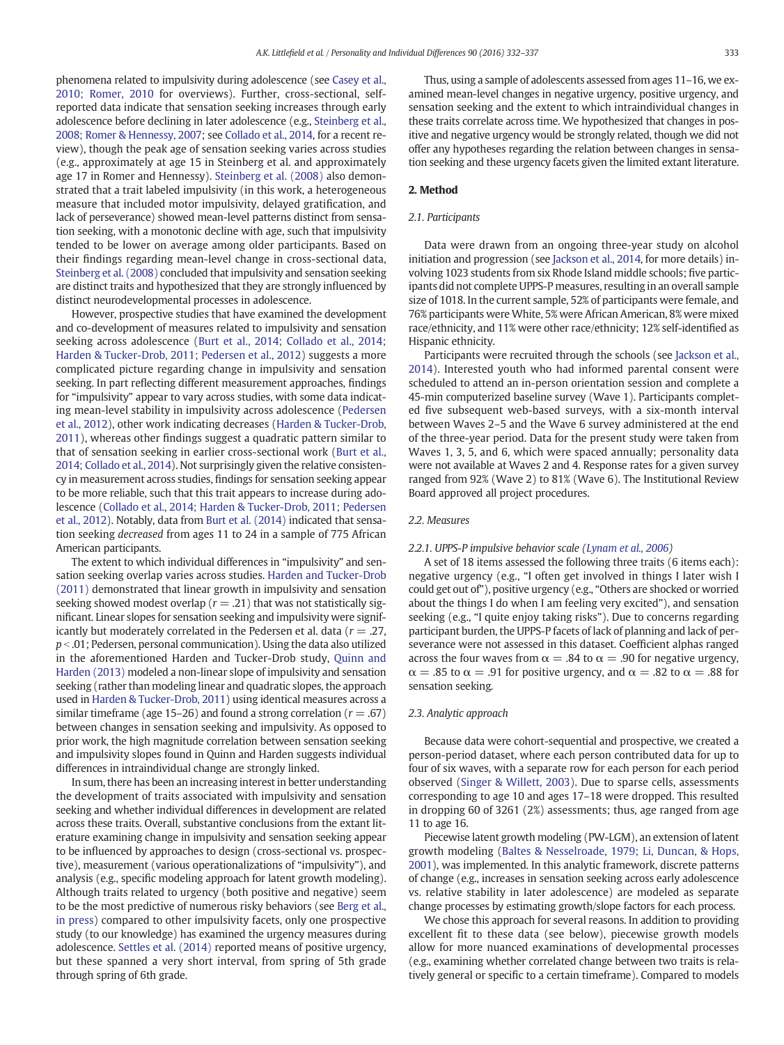phenomena related to impulsivity during adolescence (see [Casey et al.,](#page--1-0) [2010; Romer, 2010](#page--1-0) for overviews). Further, cross-sectional, selfreported data indicate that sensation seeking increases through early adolescence before declining in later adolescence (e.g., [Steinberg et al.,](#page--1-0) [2008; Romer & Hennessy, 2007](#page--1-0); see [Collado et al., 2014,](#page--1-0) for a recent review), though the peak age of sensation seeking varies across studies (e.g., approximately at age 15 in Steinberg et al. and approximately age 17 in Romer and Hennessy). [Steinberg et al. \(2008\)](#page--1-0) also demonstrated that a trait labeled impulsivity (in this work, a heterogeneous measure that included motor impulsivity, delayed gratification, and lack of perseverance) showed mean-level patterns distinct from sensation seeking, with a monotonic decline with age, such that impulsivity tended to be lower on average among older participants. Based on their findings regarding mean-level change in cross-sectional data, [Steinberg et al. \(2008\)](#page--1-0) concluded that impulsivity and sensation seeking are distinct traits and hypothesized that they are strongly influenced by distinct neurodevelopmental processes in adolescence.

However, prospective studies that have examined the development and co-development of measures related to impulsivity and sensation seeking across adolescence ([Burt et al., 2014; Collado et al., 2014;](#page--1-0) [Harden & Tucker-Drob, 2011; Pedersen et al., 2012\)](#page--1-0) suggests a more complicated picture regarding change in impulsivity and sensation seeking. In part reflecting different measurement approaches, findings for "impulsivity" appear to vary across studies, with some data indicating mean-level stability in impulsivity across adolescence [\(Pedersen](#page--1-0) [et al., 2012\)](#page--1-0), other work indicating decreases [\(Harden & Tucker-Drob,](#page--1-0) [2011\)](#page--1-0), whereas other findings suggest a quadratic pattern similar to that of sensation seeking in earlier cross-sectional work ([Burt et al.,](#page--1-0) [2014; Collado et al., 2014\)](#page--1-0). Not surprisingly given the relative consistency in measurement across studies, findings for sensation seeking appear to be more reliable, such that this trait appears to increase during adolescence [\(Collado et al., 2014; Harden & Tucker-Drob, 2011; Pedersen](#page--1-0) [et al., 2012](#page--1-0)). Notably, data from [Burt et al. \(2014\)](#page--1-0) indicated that sensation seeking decreased from ages 11 to 24 in a sample of 775 African American participants.

The extent to which individual differences in "impulsivity" and sensation seeking overlap varies across studies. [Harden and Tucker-Drob](#page--1-0) [\(2011\)](#page--1-0) demonstrated that linear growth in impulsivity and sensation seeking showed modest overlap ( $r = .21$ ) that was not statistically significant. Linear slopes for sensation seeking and impulsivity were significantly but moderately correlated in the Pedersen et al. data ( $r = 0.27$ ,  $p < .01$ ; Pedersen, personal communication). Using the data also utilized in the aforementioned Harden and Tucker-Drob study, [Quinn and](#page--1-0) [Harden \(2013\)](#page--1-0) modeled a non-linear slope of impulsivity and sensation seeking (rather than modeling linear and quadratic slopes, the approach used in [Harden & Tucker-Drob, 2011](#page--1-0)) using identical measures across a similar timeframe (age 15–26) and found a strong correlation ( $r = .67$ ) between changes in sensation seeking and impulsivity. As opposed to prior work, the high magnitude correlation between sensation seeking and impulsivity slopes found in Quinn and Harden suggests individual differences in intraindividual change are strongly linked.

In sum, there has been an increasing interest in better understanding the development of traits associated with impulsivity and sensation seeking and whether individual differences in development are related across these traits. Overall, substantive conclusions from the extant literature examining change in impulsivity and sensation seeking appear to be influenced by approaches to design (cross-sectional vs. prospective), measurement (various operationalizations of "impulsivity"), and analysis (e.g., specific modeling approach for latent growth modeling). Although traits related to urgency (both positive and negative) seem to be the most predictive of numerous risky behaviors (see [Berg et al.,](#page--1-0) [in press](#page--1-0)) compared to other impulsivity facets, only one prospective study (to our knowledge) has examined the urgency measures during adolescence. [Settles et al. \(2014\)](#page--1-0) reported means of positive urgency, but these spanned a very short interval, from spring of 5th grade through spring of 6th grade.

Thus, using a sample of adolescents assessed from ages 11–16, we examined mean-level changes in negative urgency, positive urgency, and sensation seeking and the extent to which intraindividual changes in these traits correlate across time. We hypothesized that changes in positive and negative urgency would be strongly related, though we did not offer any hypotheses regarding the relation between changes in sensation seeking and these urgency facets given the limited extant literature.

### 2. Method

#### 2.1. Participants

Data were drawn from an ongoing three-year study on alcohol initiation and progression (see [Jackson et al., 2014,](#page--1-0) for more details) involving 1023 students from six Rhode Island middle schools; five participants did not complete UPPS-P measures, resulting in an overall sample size of 1018. In the current sample, 52% of participants were female, and 76% participants were White, 5% were African American, 8% were mixed race/ethnicity, and 11% were other race/ethnicity; 12% self-identified as Hispanic ethnicity.

Participants were recruited through the schools (see [Jackson et al.,](#page--1-0) [2014\)](#page--1-0). Interested youth who had informed parental consent were scheduled to attend an in-person orientation session and complete a 45-min computerized baseline survey (Wave 1). Participants completed five subsequent web-based surveys, with a six-month interval between Waves 2–5 and the Wave 6 survey administered at the end of the three-year period. Data for the present study were taken from Waves 1, 3, 5, and 6, which were spaced annually; personality data were not available at Waves 2 and 4. Response rates for a given survey ranged from 92% (Wave 2) to 81% (Wave 6). The Institutional Review Board approved all project procedures.

#### 2.2. Measures

#### 2.2.1. UPPS-P impulsive behavior scale ([Lynam et al., 2006](#page--1-0))

A set of 18 items assessed the following three traits (6 items each): negative urgency (e.g., "I often get involved in things I later wish I could get out of"), positive urgency (e.g., "Others are shocked or worried about the things I do when I am feeling very excited"), and sensation seeking (e.g., "I quite enjoy taking risks"). Due to concerns regarding participant burden, the UPPS-P facets of lack of planning and lack of perseverance were not assessed in this dataset. Coefficient alphas ranged across the four waves from  $\alpha = .84$  to  $\alpha = .90$  for negative urgency,  $\alpha = .85$  to  $\alpha = .91$  for positive urgency, and  $\alpha = .82$  to  $\alpha = .88$  for sensation seeking.

#### 2.3. Analytic approach

Because data were cohort-sequential and prospective, we created a person-period dataset, where each person contributed data for up to four of six waves, with a separate row for each person for each period observed [\(Singer & Willett, 2003](#page--1-0)). Due to sparse cells, assessments corresponding to age 10 and ages 17–18 were dropped. This resulted in dropping 60 of 3261 (2%) assessments; thus, age ranged from age 11 to age 16.

Piecewise latent growth modeling (PW-LGM), an extension of latent growth modeling ([Baltes & Nesselroade, 1979; Li, Duncan, & Hops,](#page--1-0) [2001](#page--1-0)), was implemented. In this analytic framework, discrete patterns of change (e.g., increases in sensation seeking across early adolescence vs. relative stability in later adolescence) are modeled as separate change processes by estimating growth/slope factors for each process.

We chose this approach for several reasons. In addition to providing excellent fit to these data (see below), piecewise growth models allow for more nuanced examinations of developmental processes (e.g., examining whether correlated change between two traits is relatively general or specific to a certain timeframe). Compared to models